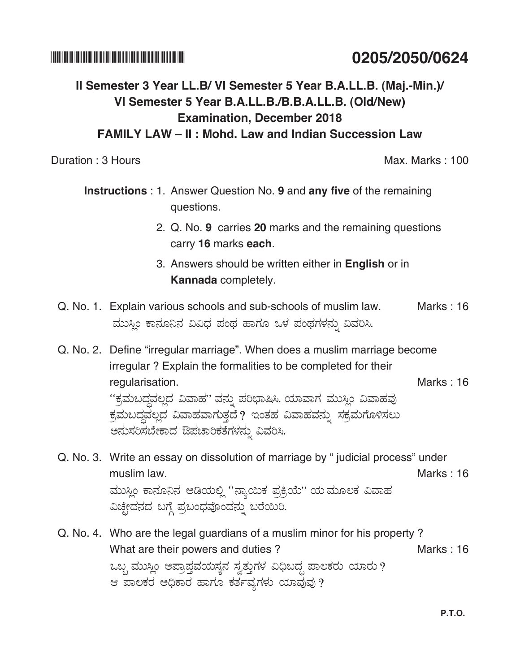\*020520500624\* **0205/2050/0624**

# **II Semester 3 Year LL.B/ VI Semester 5 Year B.A.LL.B. (Maj.-Min.)/ VI Semester 5 Year B.A.LL.B./B.B.A.LL.B. (Old/New) Examination, December 2018 FAMILY LAW – II : Mohd. Law and Indian Succession Law**

Duration : 3 Hours Max. Marks : 100

- **Instructions** : 1. Answer Question No. 9 and any five of the remaining questions.
	- 2. Q. No. **9** carries **20** marks and the remaining questions carry **16** marks **each**.
	- 3. Answers should be written either in **English** or in **Kannada** completely.
- Q. No. 1. Explain various schools and sub-schools of muslim law. Marks : 16 ಮುಸ್ಲಿಂ ಕಾನೂನಿನ ವಿವಿಧ ಪಂಥ ಹಾಗೂ ಒಳ ಪಂಥಗಳನ್ನು ವಿವರಿಸಿ.
- Q. No. 2. Define "irregular marriage". When does a muslim marriage become irregular ? Explain the formalities to be completed for their regularisation. **Marks : 16** Marks : 16 "ಕ್ರಮಬದ್ಧವಲ್ಲದ ವಿವಾಹ'' ವನ್ನು ಪರಿಭಾಷಿಸಿ. ಯಾವಾಗ ಮುಸ್ಲಿಂ ವಿವಾಹವು ಕ್ರಮಬದ್ಧವಲ್ಲದ ವಿವಾಹವಾಗುತ್ತದೆ ? ಇಂತಹ ವಿವಾಹವನ್ನು ಸಕ್ರಮಗೊಳಿಸಲು ಅನುಸರಿಸಬೇಕಾದ ಔಪಚಾರಿಕತೆಗಳನ್ನು ವಿವರಿಸಿ.
- Q. No. 3. Write an essay on dissolution of marriage by " judicial process" under muslim law. Marks : 16 ಮುಸ್ಲಿಂ ಕಾನೂನಿನ ಅಡಿಯಲ್ಲಿ "ನ್ಯಾಯಿಕ ಪ್ರಕ್ರಿಯೆ'' ಯ ಮೂಲಕ ವಿವಾಹ ವಿಚ್ಛೇದನದ ಬಗ್ಗೆ ಪ್ರಬಂಧವೊಂದನ್ನು ಬರೆಯಿರಿ.
- Q. No. 4. Who are the legal guardians of a muslim minor for his property? What are their powers and duties ? ಒಬ್ಬ ಮುಸ್ಲಿಂ ಅಪ್ರಾಪ್ತವಯಸ್ಕನ ಸ್ವತ್ತುಗಳ ವಿಧಿಬದ್ದ ಪಾಲಕರು ಯಾರು ? ಆ ಪಾಲಕರ ಅಧಿಕಾರ ಹಾಗೂ ಕರ್ತವ್ಯಗಳು ಯಾವುವು?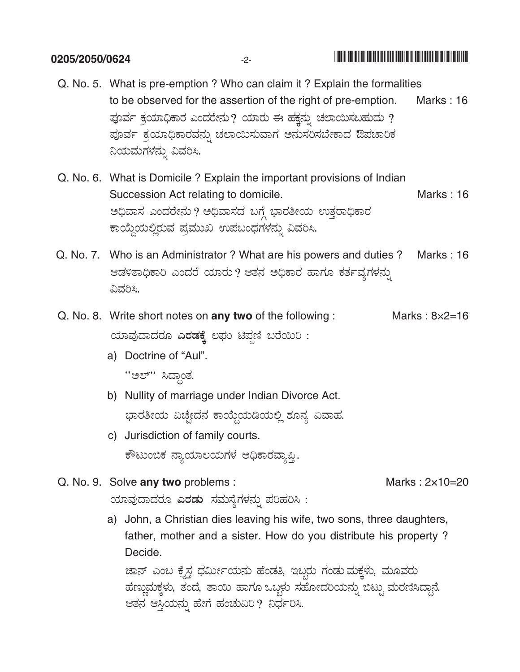### 0205/2050/0624

Q. No. 5. What is pre-emption ? Who can claim it ? Explain the formalities to be observed for the assertion of the right of pre-emption. Marks: 16 ಪೂರ್ವ ಕ್ರಯಾಧಿಕಾರ ಎಂದರೇನು ? ಯಾರು ಈ ಹಕ್ಷನ್ನು ಚಲಾಯಿಸಬಹುದು ? ಪೂರ್ವ ಕ್ರಯಾಧಿಕಾರವನ್ನು ಚಲಾಯಿಸುವಾಗ ಅನುಸರಿಸಬೇಕಾದ ಔಪಚಾರಿಕ ನಿಯಮಗಳನ್ನು ವಿವರಿಸಿ.

 $-2-$ 

- Q. No. 6. What is Domicile ? Explain the important provisions of Indian Succession Act relating to domicile. Marks: 16 ಅಧಿವಾಸ ಎಂದರೇನು ? ಅಧಿವಾಸದ ಬಗ್ಗೆ ಭಾರತೀಯ ಉತ್ತರಾಧಿಕಾರ ಕಾಯ್ದೆಯಲ್ಲಿರುವ ಪ್ರಮುಖ ಉಪಬಂಧಗಳನ್ನು ವಿವರಿಸಿ.
- Q. No. 7. Who is an Administrator? What are his powers and duties? Marks : 16 ಆಡಳಿತಾಧಿಕಾರಿ ಎಂದರೆ ಯಾರು ? ಆತನ ಅಧಿಕಾರ ಹಾಗೂ ಕರ್ತವ್ಯಗಳನ್ನು ವಿವರಿಸಿ.
- Q. No. 8. Write short notes on any two of the following: Marks:  $8\times2=16$ ಯಾವುದಾದರೂ ಎರಡಕ್ಕೆ ಲಘು ಟಿಪ್ಪಣಿ ಬರೆಯಿರಿ:
	- a) Doctrine of "Aul".

" " " " "

- b) Nullity of marriage under Indian Divorce Act. ಭಾರತೀಯ ವಿಚ್ಛೇದನ ಕಾಯ್ದೆಯಡಿಯಲ್ಲಿ ಶೂನ್ಯ ವಿವಾಹ.
- c) Jurisdiction of family courts. ಕೌಟುಂಬಿಕ ನ್ಯಾಯಾಲಯಗಳ ಅಧಿಕಾರವ್ಯಾಪ್ತಿ.
- Q. No. 9. Solve any two problems: ಯಾವುದಾದರೂ **ಎರಡು** ಸಮಸ್ಯೆಗಳನ್ನು ಪರಿಹರಿಸಿ :
	- a) John, a Christian dies leaving his wife, two sons, three daughters, father, mother and a sister. How do you distribute his property? Decide.

ಜಾನ್ ಎಂಬ ಕ್ರೈಸ್ತ ಧರ್ಮೀಯನು ಹೆಂಡತಿ, ಇಬ್ಬರು ಗಂಡು ಮಕ್ಕಳು, ಮೂವರು ಹೆಣ್ಣುಮಕ್ಕಳು, ತಂದೆ, ತಾಯಿ ಹಾಗೂ ಒಬ್ಬಳು ಸಹೋದರಿಯನ್ನು ಬಿಟ್ಟು ಮರಣಿಸಿದ್ದಾನೆ. ಆತನ ಆಸ್ತಿಯನ್ನು ಹೇಗೆ ಹಂಚುವಿರಿ ? ನಿರ್ಧರಿಸಿ.

Marks:  $2\times10=20$